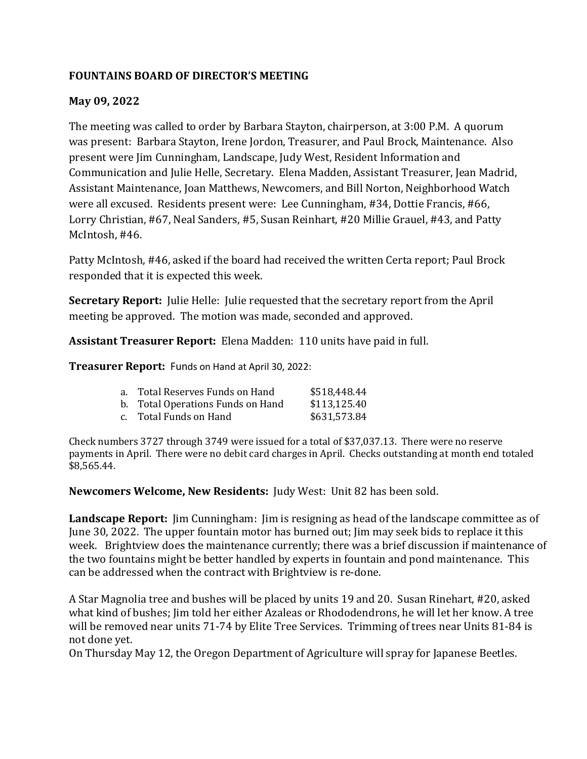# **FOUNTAINS BOARD OF DIRECTOR'S MEETING**

### **May 09, 2022**

The meeting was called to order by Barbara Stayton, chairperson, at 3:00 P.M. A quorum was present: Barbara Stayton, Irene Jordon, Treasurer, and Paul Brock, Maintenance. Also present were Jim Cunningham, Landscape, Judy West, Resident Information and Communication and Julie Helle, Secretary. Elena Madden, Assistant Treasurer, Jean Madrid, Assistant Maintenance, Joan Matthews, Newcomers, and Bill Norton, Neighborhood Watch were all excused. Residents present were: Lee Cunningham, #34, Dottie Francis, #66, Lorry Christian, #67, Neal Sanders, #5, Susan Reinhart, #20 Millie Grauel, #43, and Patty McIntosh, #46.

Patty McIntosh, #46, asked if the board had received the written Certa report; Paul Brock responded that it is expected this week.

**Secretary Report:** Julie Helle: Julie requested that the secretary report from the April meeting be approved. The motion was made, seconded and approved.

Assistant Treasurer Report: Elena Madden: 110 units have paid in full.

**Treasurer Report:** Funds on Hand at April 30, 2022:

| a.    Total Reserves Funds on Hand | \$518,448.44 |
|------------------------------------|--------------|
| b. Total Operations Funds on Hand  | \$113,125.40 |
| c. Total Funds on Hand             | \$631,573.84 |

Check numbers 3727 through 3749 were issued for a total of \$37,037.13. There were no reserve payments in April. There were no debit card charges in April. Checks outstanding at month end totaled \$8,565.44.

**Newcomers Welcome, New Residents:** Judy West: Unit 82 has been sold.

**Landscape Report:** Jim Cunningham: Jim is resigning as head of the landscape committee as of June 30, 2022. The upper fountain motor has burned out; Jim may seek bids to replace it this week. Brightview does the maintenance currently; there was a brief discussion if maintenance of the two fountains might be better handled by experts in fountain and pond maintenance. This can be addressed when the contract with Brightview is re-done.

A Star Magnolia tree and bushes will be placed by units 19 and 20. Susan Rinehart, #20, asked what kind of bushes; Jim told her either Azaleas or Rhododendrons, he will let her know. A tree will be removed near units 71-74 by Elite Tree Services. Trimming of trees near Units 81-84 is not done yet.

On Thursday May 12, the Oregon Department of Agriculture will spray for Japanese Beetles.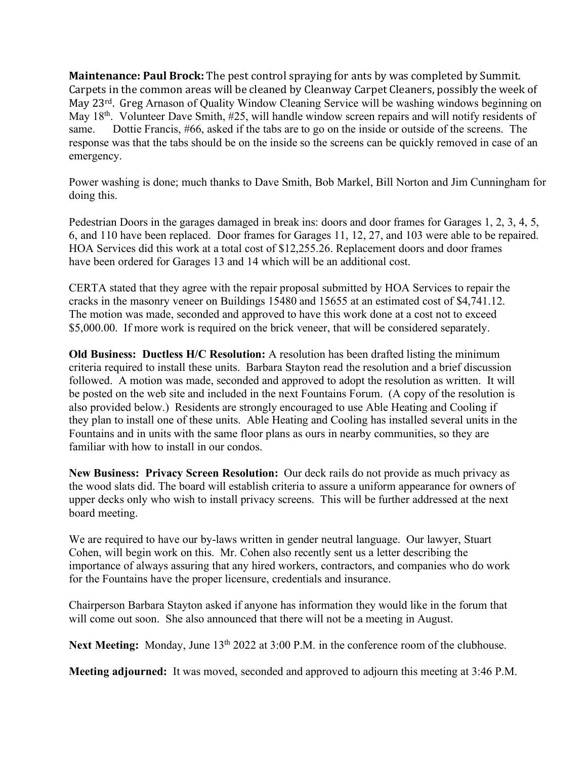**Maintenance: Paul Brock:** The pest control spraying for ants by was completed by Summit. Carpets in the common areas will be cleaned by Cleanway Carpet Cleaners, possibly the week of May 23<sup>rd</sup>. Greg Arnason of Quality Window Cleaning Service will be washing windows beginning on May 18<sup>th</sup>. Volunteer Dave Smith, #25, will handle window screen repairs and will notify residents of same. Dottie Francis, #66, asked if the tabs are to go on the inside or outside of the screens. The response was that the tabs should be on the inside so the screens can be quickly removed in case of an emergency.

Power washing is done; much thanks to Dave Smith, Bob Markel, Bill Norton and Jim Cunningham for doing this.

Pedestrian Doors in the garages damaged in break ins: doors and door frames for Garages 1, 2, 3, 4, 5, 6, and 110 have been replaced. Door frames for Garages 11, 12, 27, and 103 were able to be repaired. HOA Services did this work at a total cost of \$12,255.26. Replacement doors and door frames have been ordered for Garages 13 and 14 which will be an additional cost.

CERTA stated that they agree with the repair proposal submitted by HOA Services to repair the cracks in the masonry veneer on Buildings 15480 and 15655 at an estimated cost of \$4,741.12. The motion was made, seconded and approved to have this work done at a cost not to exceed \$5,000.00. If more work is required on the brick veneer, that will be considered separately.

**Old Business: Ductless H/C Resolution:** A resolution has been drafted listing the minimum criteria required to install these units. Barbara Stayton read the resolution and a brief discussion followed. A motion was made, seconded and approved to adopt the resolution as written. It will be posted on the web site and included in the next Fountains Forum. (A copy of the resolution is also provided below.) Residents are strongly encouraged to use Able Heating and Cooling if they plan to install one of these units. Able Heating and Cooling has installed several units in the Fountains and in units with the same floor plans as ours in nearby communities, so they are familiar with how to install in our condos.

**New Business: Privacy Screen Resolution:** Our deck rails do not provide as much privacy as the wood slats did. The board will establish criteria to assure a uniform appearance for owners of upper decks only who wish to install privacy screens. This will be further addressed at the next board meeting.

We are required to have our by-laws written in gender neutral language. Our lawyer, Stuart Cohen, will begin work on this. Mr. Cohen also recently sent us a letter describing the importance of always assuring that any hired workers, contractors, and companies who do work for the Fountains have the proper licensure, credentials and insurance.

Chairperson Barbara Stayton asked if anyone has information they would like in the forum that will come out soon. She also announced that there will not be a meeting in August.

Next Meeting: Monday, June 13<sup>th</sup> 2022 at 3:00 P.M. in the conference room of the clubhouse.

**Meeting adjourned:** It was moved, seconded and approved to adjourn this meeting at 3:46 P.M.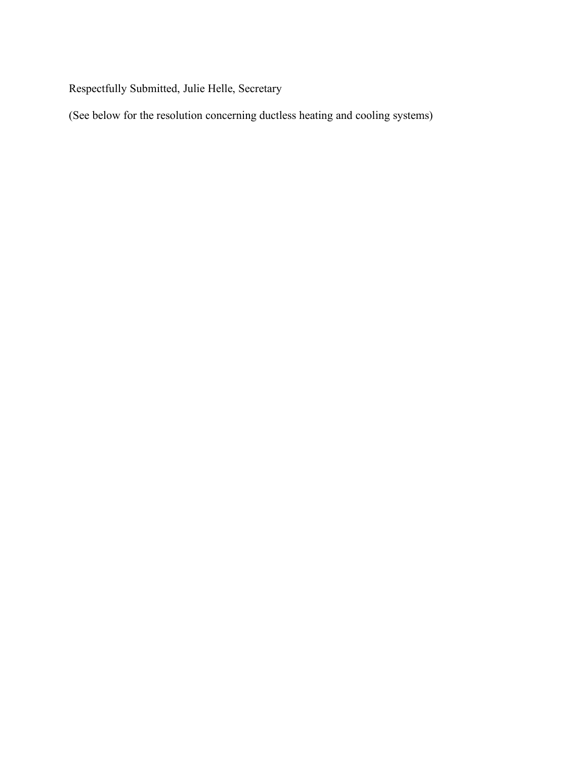Respectfully Submitted, Julie Helle, Secretary

(See below for the resolution concerning ductless heating and cooling systems)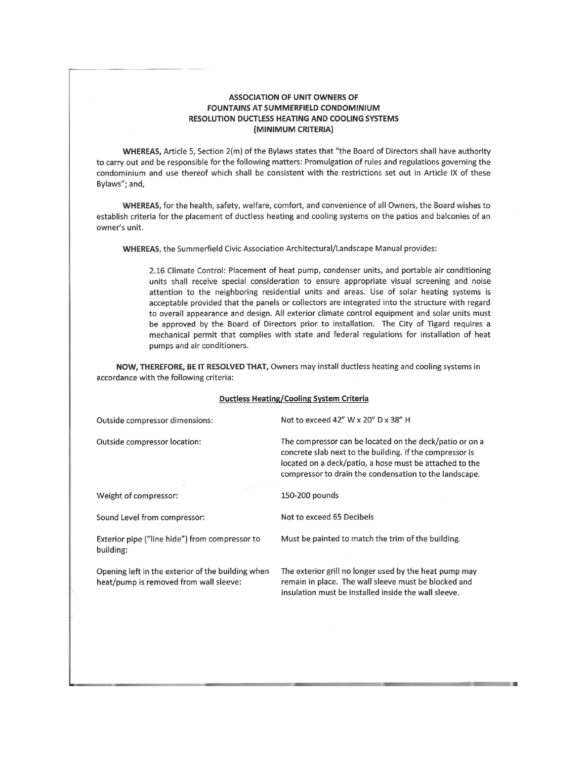#### **ASSOCIATION OF UNIT OWNERS OF** FOUNTAINS AT SUMMERFIELD CONDOMINIUM RESOLUTION DUCTLESS HEATING AND COOLING SYSTEMS (MINIMUM CRITERIA)

WHEREAS, Article 5, Section 2(m) of the Bylaws states that "the Board of Directors shall have authority to carry out and be responsible for the following matters: Promulgation of rules and regulations governing the condominium and use thereof which shall be consistent with the restrictions set out in Article IX of these Bylaws"; and,

WHEREAS, for the health, safety, welfare, comfort, and convenience of all Owners, the Board wishes to establish criteria for the placement of ductless heating and cooling systems on the patios and balconies of an owner's unit.

WHEREAS, the Summerfield Civic Association Architectural/Landscape Manual provides:

2.16 Climate Control: Placement of heat pump, condenser units, and portable air conditioning units shall receive special consideration to ensure appropriate visual screening and noise attention to the neighboring residential units and areas. Use of solar heating systems is acceptable provided that the panels or collectors are integrated into the structure with regard to overall appearance and design. All exterior climate control equipment and solar units must be approved by the Board of Directors prior to installation. The City of Tigard requires a mechanical permit that complies with state and federal regulations for installation of heat pumps and air conditioners.

NOW, THEREFORE, BE IT RESOLVED THAT, Owners may install ductless heating and cooling systems in accordance with the following criteria:

#### **Ductless Heating/Cooling System Criteria**

| Outside compressor dimensions:                                                              | Not to exceed 42" W x 20" D x 38" H                                                                                                                                                                                                      |  |
|---------------------------------------------------------------------------------------------|------------------------------------------------------------------------------------------------------------------------------------------------------------------------------------------------------------------------------------------|--|
| Outside compressor location:                                                                | The compressor can be located on the deck/patio or on a<br>concrete slab next to the building. If the compressor is<br>located on a deck/patio, a hose must be attached to the<br>compressor to drain the condensation to the landscape. |  |
| Weight of compressor:                                                                       | 150-200 pounds                                                                                                                                                                                                                           |  |
| Sound Level from compressor:                                                                | Not to exceed 65 Decibels                                                                                                                                                                                                                |  |
| Exterior pipe ("line hide") from compressor to<br>building:                                 | Must be painted to match the trim of the building.                                                                                                                                                                                       |  |
| Opening left in the exterior of the building when<br>heat/pump is removed from wall sleeve: | The exterior grill no longer used by the heat pump may<br>remain in place. The wall sleeve must be blocked and<br>insulation must be installed inside the wall sleeve.                                                                   |  |
|                                                                                             |                                                                                                                                                                                                                                          |  |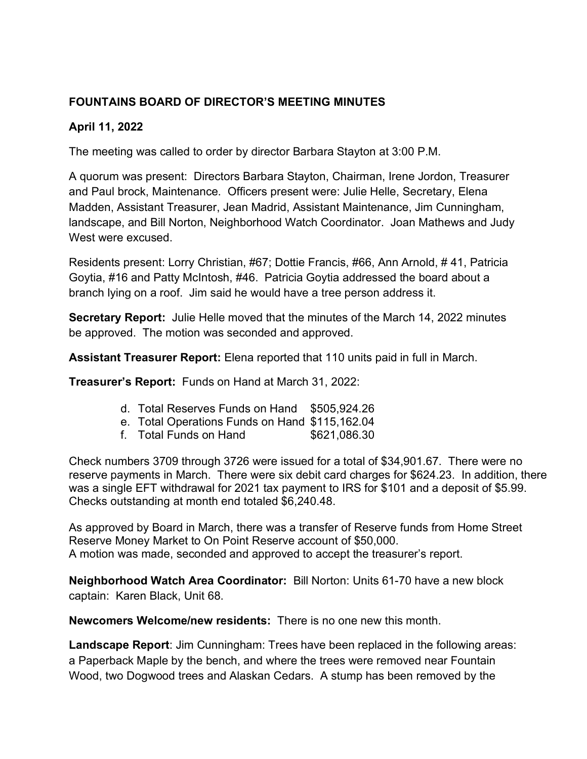# **FOUNTAINS BOARD OF DIRECTOR'S MEETING MINUTES**

# **April 11, 2022**

The meeting was called to order by director Barbara Stayton at 3:00 P.M.

A quorum was present: Directors Barbara Stayton, Chairman, Irene Jordon, Treasurer and Paul brock, Maintenance. Officers present were: Julie Helle, Secretary, Elena Madden, Assistant Treasurer, Jean Madrid, Assistant Maintenance, Jim Cunningham, landscape, and Bill Norton, Neighborhood Watch Coordinator. Joan Mathews and Judy West were excused.

Residents present: Lorry Christian, #67; Dottie Francis, #66, Ann Arnold, # 41, Patricia Goytia, #16 and Patty McIntosh, #46. Patricia Goytia addressed the board about a branch lying on a roof. Jim said he would have a tree person address it.

**Secretary Report:** Julie Helle moved that the minutes of the March 14, 2022 minutes be approved. The motion was seconded and approved.

**Assistant Treasurer Report:** Elena reported that 110 units paid in full in March.

**Treasurer's Report:** Funds on Hand at March 31, 2022:

- d. Total Reserves Funds on Hand \$505,924.26
- e. Total Operations Funds on Hand \$115,162.04
- f. Total Funds on Hand \$621,086.30

Check numbers 3709 through 3726 were issued for a total of \$34,901.67. There were no reserve payments in March. There were six debit card charges for \$624.23. In addition, there was a single EFT withdrawal for 2021 tax payment to IRS for \$101 and a deposit of \$5.99. Checks outstanding at month end totaled \$6,240.48.

As approved by Board in March, there was a transfer of Reserve funds from Home Street Reserve Money Market to On Point Reserve account of \$50,000. A motion was made, seconded and approved to accept the treasurer's report.

**Neighborhood Watch Area Coordinator:** Bill Norton: Units 61-70 have a new block captain: Karen Black, Unit 68.

**Newcomers Welcome/new residents:** There is no one new this month.

**Landscape Report**: Jim Cunningham: Trees have been replaced in the following areas: a Paperback Maple by the bench, and where the trees were removed near Fountain Wood, two Dogwood trees and Alaskan Cedars. A stump has been removed by the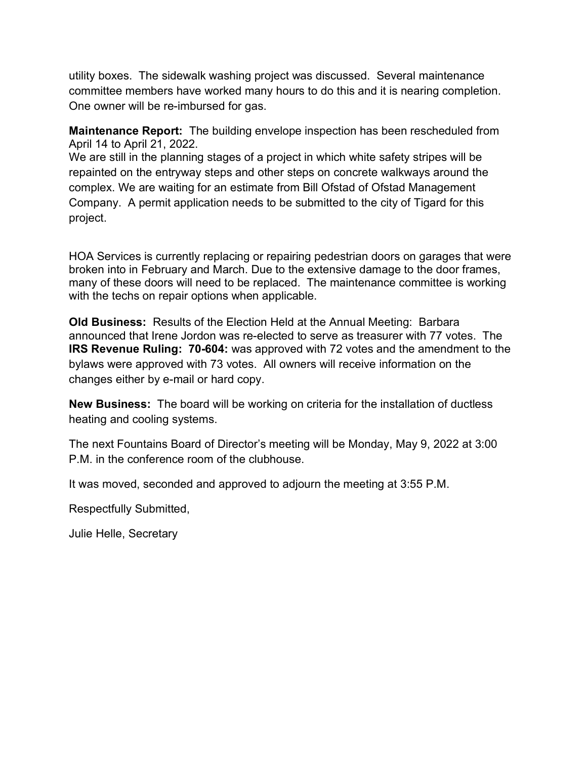utility boxes. The sidewalk washing project was discussed. Several maintenance committee members have worked many hours to do this and it is nearing completion. One owner will be re-imbursed for gas.

**Maintenance Report:** The building envelope inspection has been rescheduled from April 14 to April 21, 2022.

We are still in the planning stages of a project in which white safety stripes will be repainted on the entryway steps and other steps on concrete walkways around the complex. We are waiting for an estimate from Bill Ofstad of Ofstad Management Company. A permit application needs to be submitted to the city of Tigard for this project.

HOA Services is currently replacing or repairing pedestrian doors on garages that were broken into in February and March. Due to the extensive damage to the door frames, many of these doors will need to be replaced. The maintenance committee is working with the techs on repair options when applicable.

**Old Business:** Results of the Election Held at the Annual Meeting:Barbara announced that Irene Jordon was re-elected to serve as treasurer with 77 votes. The **IRS Revenue Ruling: 70-604:** was approved with 72 votes and the amendment to the bylaws were approved with 73 votes. All owners will receive information on the changes either by e-mail or hard copy.

**New Business:** The board will be working on criteria for the installation of ductless heating and cooling systems.

The next Fountains Board of Director's meeting will be Monday, May 9, 2022 at 3:00 P.M. in the conference room of the clubhouse.

It was moved, seconded and approved to adjourn the meeting at 3:55 P.M.

Respectfully Submitted,

Julie Helle, Secretary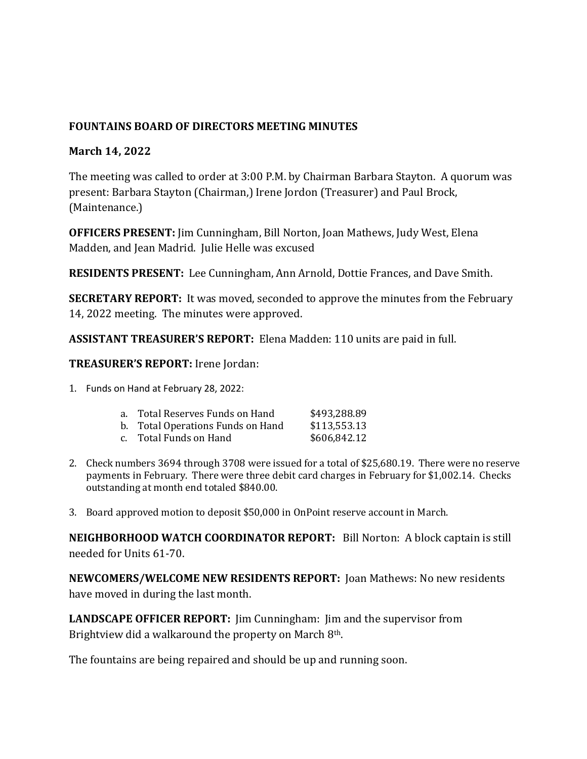# **FOUNTAINS BOARD OF DIRECTORS MEETING MINUTES**

#### **March 14, 2022**

The meeting was called to order at 3:00 P.M. by Chairman Barbara Stayton. A quorum was present: Barbara Stayton (Chairman,) Irene Jordon (Treasurer) and Paul Brock, (Maintenance.)

**OFFICERS PRESENT:** Jim Cunningham, Bill Norton, Joan Mathews, Judy West, Elena Madden, and Jean Madrid. Julie Helle was excused

**RESIDENTS PRESENT:** Lee Cunningham, Ann Arnold, Dottie Frances, and Dave Smith.

**SECRETARY REPORT:** It was moved, seconded to approve the minutes from the February 14, 2022 meeting. The minutes were approved.

**ASSISTANT TREASURER'S REPORT:** Elena Madden: 110 units are paid in full.

**TREASURER'S REPORT:** Irene Jordan:

1. Funds on Hand at February 28, 2022:

| a.    Total Reserves Funds on Hand | \$493,288.89 |
|------------------------------------|--------------|
| b. Total Operations Funds on Hand  | \$113,553.13 |
| c.     Total Funds on Hand         | \$606,842.12 |

- 2. Check numbers 3694 through 3708 were issued for a total of \$25,680.19. There were no reserve payments in February. There were three debit card charges in February for \$1,002.14. Checks outstanding at month end totaled \$840.00.
- 3. Board approved motion to deposit \$50,000 in OnPoint reserve account in March.

**NEIGHBORHOOD WATCH COORDINATOR REPORT:** Bill Norton: A block captain is still needed for Units 61-70.

**NEWCOMERS/WELCOME NEW RESIDENTS REPORT:** Joan Mathews: No new residents have moved in during the last month.

**LANDSCAPE OFFICER REPORT:**  $\lim$  Cunningham:  $\lim$  and the supervisor from Brightview did a walkaround the property on March  $8<sup>th</sup>$ .

The fountains are being repaired and should be up and running soon.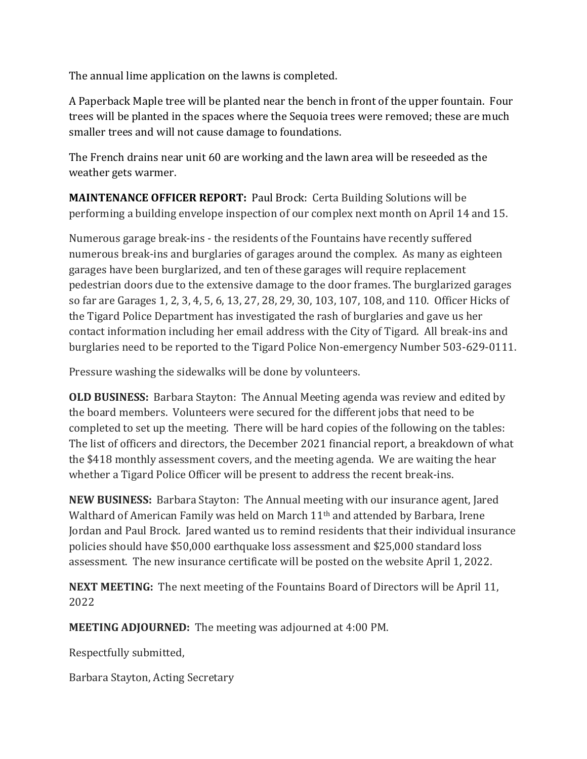The annual lime application on the lawns is completed.

A Paperback Maple tree will be planted near the bench in front of the upper fountain. Four trees will be planted in the spaces where the Sequoia trees were removed; these are much smaller trees and will not cause damage to foundations.

The French drains near unit 60 are working and the lawn area will be reseeded as the weather gets warmer.

**MAINTENANCE OFFICER REPORT:** Paul Brock: Certa Building Solutions will be performing a building envelope inspection of our complex next month on April 14 and 15.

Numerous garage break-ins - the residents of the Fountains have recently suffered numerous break-ins and burglaries of garages around the complex. As many as eighteen garages have been burglarized, and ten of these garages will require replacement pedestrian doors due to the extensive damage to the door frames. The burglarized garages so far are Garages 1, 2, 3, 4, 5, 6, 13, 27, 28, 29, 30, 103, 107, 108, and 110. Officer Hicks of the Tigard Police Department has investigated the rash of burglaries and gave us her contact information including her email address with the City of Tigard. All break-ins and burglaries need to be reported to the Tigard Police Non-emergency Number 503-629-0111.

Pressure washing the sidewalks will be done by volunteers.

**OLD BUSINESS:** Barbara Stayton: The Annual Meeting agenda was review and edited by the board members. Volunteers were secured for the different jobs that need to be completed to set up the meeting. There will be hard copies of the following on the tables: The list of officers and directors, the December 2021 financial report, a breakdown of what the \$418 monthly assessment covers, and the meeting agenda. We are waiting the hear whether a Tigard Police Officer will be present to address the recent break-ins.

**NEW BUSINESS:** Barbara Stayton: The Annual meeting with our insurance agent, Jared Walthard of American Family was held on March  $11<sup>th</sup>$  and attended by Barbara, Irene Jordan and Paul Brock. Jared wanted us to remind residents that their individual insurance policies should have \$50,000 earthquake loss assessment and \$25,000 standard loss assessment. The new insurance certificate will be posted on the website April 1, 2022.

**NEXT MEETING:** The next meeting of the Fountains Board of Directors will be April 11, 2022

**MEETING ADJOURNED:** The meeting was adjourned at 4:00 PM.

Respectfully submitted,

Barbara Stayton, Acting Secretary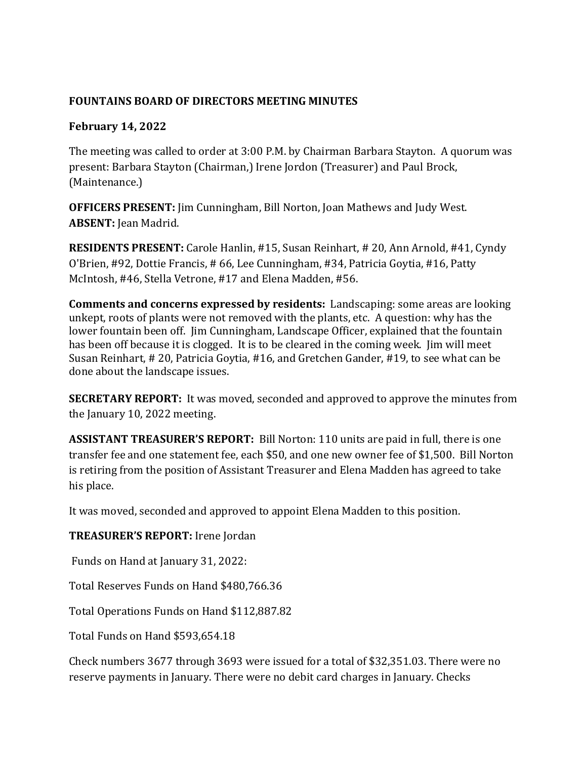# **FOUNTAINS BOARD OF DIRECTORS MEETING MINUTES**

# **February 14, 2022**

The meeting was called to order at 3:00 P.M. by Chairman Barbara Stayton. A quorum was present: Barbara Stayton (Chairman,) Irene Jordon (Treasurer) and Paul Brock, (Maintenance.)

**OFFICERS PRESENT:** Jim Cunningham, Bill Norton, Joan Mathews and Judy West. **ABSENT:** Jean Madrid.

**RESIDENTS PRESENT:** Carole Hanlin, #15, Susan Reinhart, # 20, Ann Arnold, #41, Cyndy O'Brien, #92, Dottie Francis, # 66, Lee Cunningham, #34, Patricia Goytia, #16, Patty McIntosh, #46, Stella Vetrone, #17 and Elena Madden, #56.

**Comments and concerns expressed by residents:** Landscaping: some areas are looking unkept, roots of plants were not removed with the plants, etc. A question: why has the lower fountain been off. Jim Cunningham, Landscape Officer, explained that the fountain has been off because it is clogged. It is to be cleared in the coming week. Jim will meet Susan Reinhart, # 20, Patricia Goytia, #16, and Gretchen Gander, #19, to see what can be done about the landscape issues.

**SECRETARY REPORT:** It was moved, seconded and approved to approve the minutes from the January  $10, 2022$  meeting.

**ASSISTANT TREASURER'S REPORT:** Bill Norton: 110 units are paid in full, there is one transfer fee and one statement fee, each \$50, and one new owner fee of \$1,500. Bill Norton is retiring from the position of Assistant Treasurer and Elena Madden has agreed to take his place.

It was moved, seconded and approved to appoint Elena Madden to this position.

# **TREASURER'S REPORT:** Irene Jordan

Funds on Hand at January 31, 2022:

Total Reserves Funds on Hand \$480,766.36

Total Operations Funds on Hand \$112,887.82

Total Funds on Hand \$593,654.18 

Check numbers 3677 through 3693 were issued for a total of \$32,351.03. There were no reserve payments in January. There were no debit card charges in January. Checks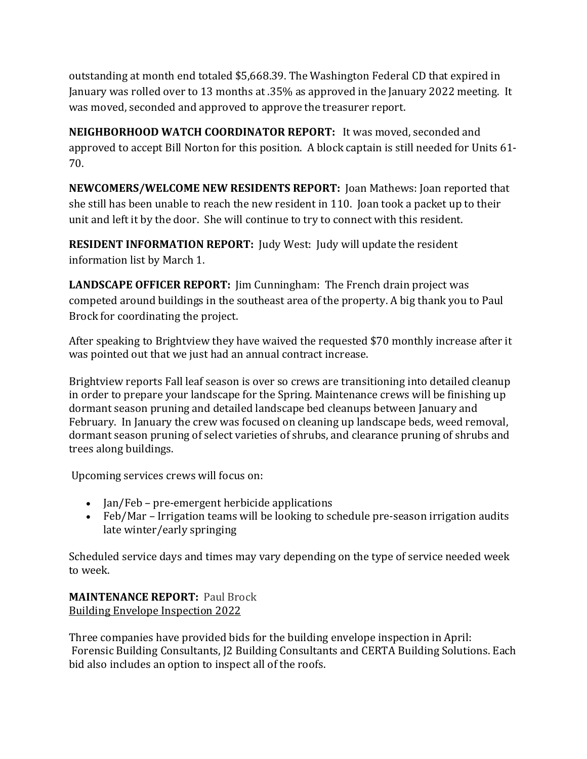outstanding at month end totaled \$5,668.39. The Washington Federal CD that expired in January was rolled over to 13 months at .35% as approved in the January 2022 meeting. It was moved, seconded and approved to approve the treasurer report.

**NEIGHBORHOOD WATCH COORDINATOR REPORT:** It was moved, seconded and approved to accept Bill Norton for this position. A block captain is still needed for Units 61-70. 

**NEWCOMERS/WELCOME NEW RESIDENTS REPORT:** Joan Mathews: Joan reported that she still has been unable to reach the new resident in 110. Joan took a packet up to their unit and left it by the door. She will continue to try to connect with this resident.

**RESIDENT INFORMATION REPORT:** Judy West: Judy will update the resident information list by March 1.

**LANDSCAPE OFFICER REPORT:** [im Cunningham: The French drain project was competed around buildings in the southeast area of the property. A big thank you to Paul Brock for coordinating the project.

After speaking to Brightview they have waived the requested \$70 monthly increase after it was pointed out that we just had an annual contract increase.

Brightview reports Fall leaf season is over so crews are transitioning into detailed cleanup in order to prepare your landscape for the Spring. Maintenance crews will be finishing up dormant season pruning and detailed landscape bed cleanups between January and February. In January the crew was focused on cleaning up landscape beds, weed removal, dormant season pruning of select varieties of shrubs, and clearance pruning of shrubs and trees along buildings.

Upcoming services crews will focus on:

- Jan/Feb pre-emergent herbicide applications
- Feb/Mar Irrigation teams will be looking to schedule pre-season irrigation audits late winter/early springing

Scheduled service days and times may vary depending on the type of service needed week to week.

**MAINTENANCE REPORT: Paul Brock Building Envelope Inspection 2022** 

Three companies have provided bids for the building envelope inspection in April: Forensic Building Consultants, [2 Building Consultants and CERTA Building Solutions. Each bid also includes an option to inspect all of the roofs.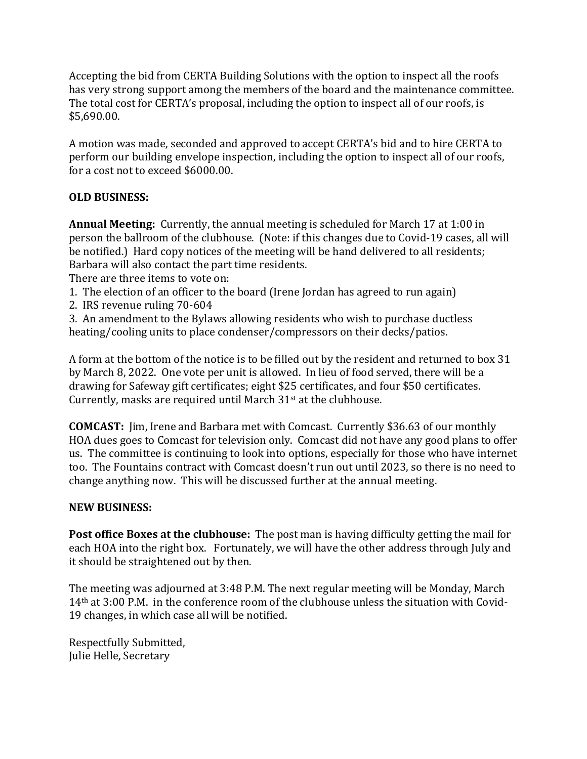Accepting the bid from CERTA Building Solutions with the option to inspect all the roofs has very strong support among the members of the board and the maintenance committee. The total cost for CERTA's proposal, including the option to inspect all of our roofs, is \$5,690.00.

A motion was made, seconded and approved to accept CERTA's bid and to hire CERTA to perform our building envelope inspection, including the option to inspect all of our roofs, for a cost not to exceed \$6000.00.

## **OLD BUSINESS:**

**Annual Meeting:** Currently, the annual meeting is scheduled for March 17 at 1:00 in person the ballroom of the clubhouse. (Note: if this changes due to Covid-19 cases, all will be notified.) Hard copy notices of the meeting will be hand delivered to all residents; Barbara will also contact the part time residents.

There are three items to vote on:

- 1. The election of an officer to the board (Irene Jordan has agreed to run again)
- 2. IRS revenue ruling 70-604

3. An amendment to the Bylaws allowing residents who wish to purchase ductless heating/cooling units to place condenser/compressors on their decks/patios.

A form at the bottom of the notice is to be filled out by the resident and returned to box 31 by March 8, 2022. One vote per unit is allowed. In lieu of food served, there will be a drawing for Safeway gift certificates; eight \$25 certificates, and four \$50 certificates. Currently, masks are required until March  $31<sup>st</sup>$  at the clubhouse.

**COMCAST:** Jim, Irene and Barbara met with Comcast. Currently \$36.63 of our monthly HOA dues goes to Comcast for television only. Comcast did not have any good plans to offer us. The committee is continuing to look into options, especially for those who have internet too. The Fountains contract with Comcast doesn't run out until 2023, so there is no need to change anything now. This will be discussed further at the annual meeting.

### **NEW BUSINESS:**

**Post office Boxes at the clubhouse:** The post man is having difficulty getting the mail for each HOA into the right box. Fortunately, we will have the other address through July and it should be straightened out by then.

The meeting was adjourned at 3:48 P.M. The next regular meeting will be Monday, March 14<sup>th</sup> at 3:00 P.M. in the conference room of the clubhouse unless the situation with Covid-19 changes, in which case all will be notified.

Respectfully Submitted, Julie Helle, Secretary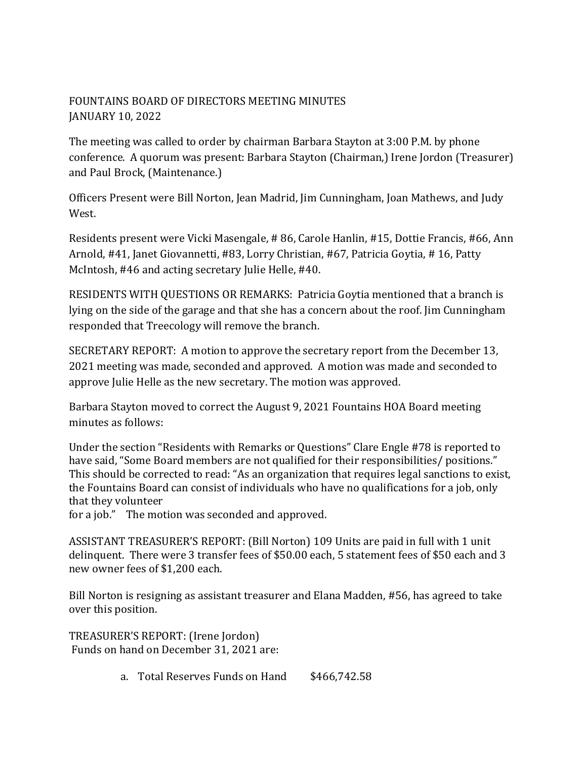# FOUNTAINS BOARD OF DIRECTORS MEETING MINUTES JANUARY 10, 2022

The meeting was called to order by chairman Barbara Stayton at 3:00 P.M. by phone conference. A quorum was present: Barbara Stayton (Chairman,) Irene Jordon (Treasurer) and Paul Brock, (Maintenance.)

Officers Present were Bill Norton, Jean Madrid, Jim Cunningham, Joan Mathews, and Judy West. 

Residents present were Vicki Masengale, # 86, Carole Hanlin, #15, Dottie Francis, #66, Ann Arnold, #41, Janet Giovannetti, #83, Lorry Christian, #67, Patricia Goytia, #16, Patty McIntosh, #46 and acting secretary Julie Helle, #40.

RESIDENTS WITH QUESTIONS OR REMARKS: Patricia Goytia mentioned that a branch is lying on the side of the garage and that she has a concern about the roof. Jim Cunningham responded that Treecology will remove the branch.

SECRETARY REPORT: A motion to approve the secretary report from the December 13, 2021 meeting was made, seconded and approved. A motion was made and seconded to approve Julie Helle as the new secretary. The motion was approved.

Barbara Stayton moved to correct the August 9, 2021 Fountains HOA Board meeting minutes as follows:

Under the section "Residents with Remarks or Questions" Clare Engle #78 is reported to have said, "Some Board members are not qualified for their responsibilities/ positions." This should be corrected to read: "As an organization that requires legal sanctions to exist, the Fountains Board can consist of individuals who have no qualifications for a job, only that they volunteer

for a job." The motion was seconded and approved.

ASSISTANT TREASURER'S REPORT: (Bill Norton) 109 Units are paid in full with 1 unit delinquent. There were 3 transfer fees of \$50.00 each, 5 statement fees of \$50 each and 3 new owner fees of \$1,200 each.

Bill Norton is resigning as assistant treasurer and Elana Madden, #56, has agreed to take over this position.

TREASURER'S REPORT: (Irene Jordon) Funds on hand on December 31, 2021 are:

a. Total Reserves Funds on Hand \$466,742.58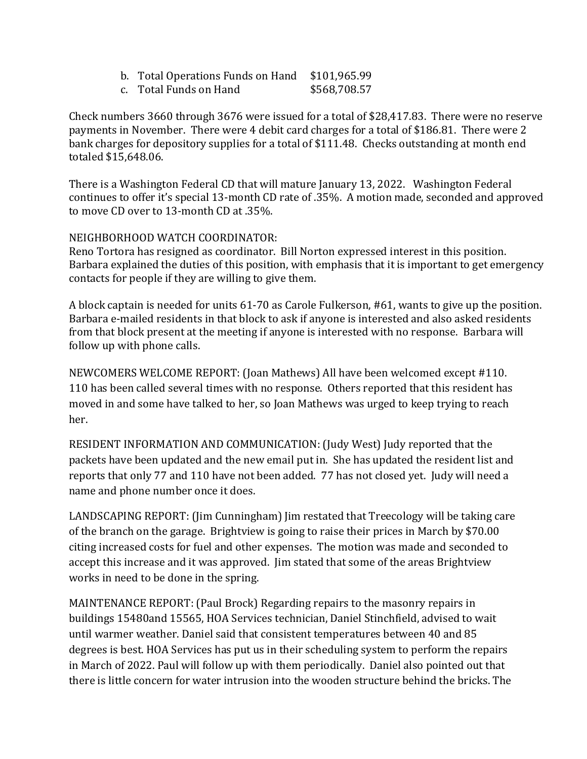| b. Total Operations Funds on Hand \$101,965.99 |  |
|------------------------------------------------|--|
|                                                |  |

c. Total Funds on Hand \$568,708.57

Check numbers 3660 through 3676 were issued for a total of \$28,417.83. There were no reserve payments in November. There were 4 debit card charges for a total of \$186.81. There were 2 bank charges for depository supplies for a total of \$111.48. Checks outstanding at month end totaled \$15,648.06.

There is a Washington Federal CD that will mature January 13, 2022. Washington Federal continues to offer it's special 13-month CD rate of .35%. A motion made, seconded and approved to move CD over to 13-month CD at .35%.

## NEIGHBORHOOD WATCH COORDINATOR:

Reno Tortora has resigned as coordinator. Bill Norton expressed interest in this position. Barbara explained the duties of this position, with emphasis that it is important to get emergency contacts for people if they are willing to give them.

A block captain is needed for units 61-70 as Carole Fulkerson, #61, wants to give up the position. Barbara e-mailed residents in that block to ask if anyone is interested and also asked residents from that block present at the meeting if anyone is interested with no response. Barbara will follow up with phone calls.

NEWCOMERS WELCOME REPORT: (Joan Mathews) All have been welcomed except #110. 110 has been called several times with no response. Others reported that this resident has moved in and some have talked to her, so Joan Mathews was urged to keep trying to reach her. 

RESIDENT INFORMATION AND COMMUNICATION: (Judy West) Judy reported that the packets have been updated and the new email put in. She has updated the resident list and reports that only 77 and 110 have not been added. 77 has not closed yet. Judy will need a name and phone number once it does.

LANDSCAPING REPORT: (Jim Cunningham) Jim restated that Treecology will be taking care of the branch on the garage. Brightview is going to raise their prices in March by \$70.00 citing increased costs for fuel and other expenses. The motion was made and seconded to accept this increase and it was approved. Jim stated that some of the areas Brightview works in need to be done in the spring.

MAINTENANCE REPORT: (Paul Brock) Regarding repairs to the masonry repairs in buildings 15480and 15565, HOA Services technician, Daniel Stinchfield, advised to wait until warmer weather. Daniel said that consistent temperatures between 40 and 85 degrees is best. HOA Services has put us in their scheduling system to perform the repairs in March of 2022. Paul will follow up with them periodically. Daniel also pointed out that there is little concern for water intrusion into the wooden structure behind the bricks. The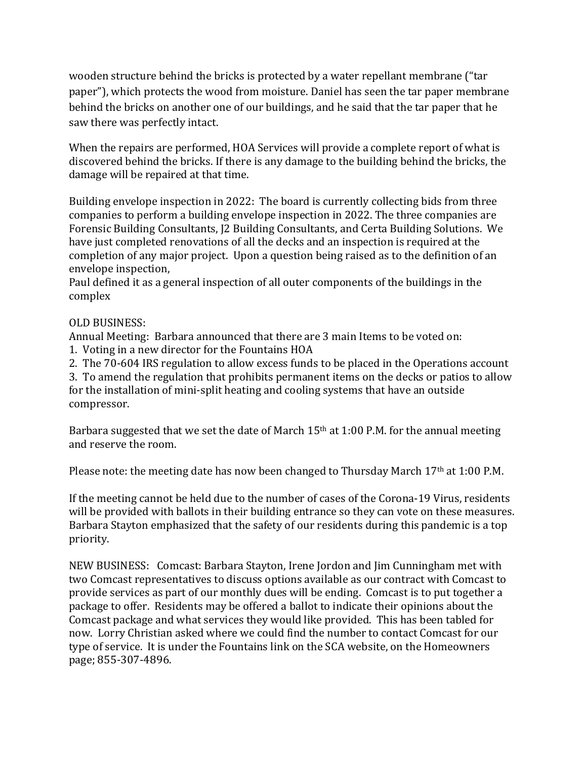wooden structure behind the bricks is protected by a water repellant membrane ("tar paper"), which protects the wood from moisture. Daniel has seen the tar paper membrane behind the bricks on another one of our buildings, and he said that the tar paper that he saw there was perfectly intact.

When the repairs are performed, HOA Services will provide a complete report of what is discovered behind the bricks. If there is any damage to the building behind the bricks, the damage will be repaired at that time.

Building envelope inspection in 2022: The board is currently collecting bids from three companies to perform a building envelope inspection in 2022. The three companies are Forensic Building Consultants, [2 Building Consultants, and Certa Building Solutions. We have just completed renovations of all the decks and an inspection is required at the completion of any major project. Upon a question being raised as to the definition of an envelope inspection,

Paul defined it as a general inspection of all outer components of the buildings in the complex

## OLD BUSINESS:

Annual Meeting: Barbara announced that there are 3 main Items to be voted on:

1. Voting in a new director for the Fountains HOA

2. The 70-604 IRS regulation to allow excess funds to be placed in the Operations account

3. To amend the regulation that prohibits permanent items on the decks or patios to allow for the installation of mini-split heating and cooling systems that have an outside compressor. 

Barbara suggested that we set the date of March  $15<sup>th</sup>$  at  $1:00$  P.M. for the annual meeting and reserve the room.

Please note: the meeting date has now been changed to Thursday March  $17<sup>th</sup>$  at  $1:00$  P.M.

If the meeting cannot be held due to the number of cases of the Corona-19 Virus, residents will be provided with ballots in their building entrance so they can vote on these measures. Barbara Stayton emphasized that the safety of our residents during this pandemic is a top priority.

NEW BUSINESS: Comcast: Barbara Stayton, Irene Jordon and Jim Cunningham met with two Comcast representatives to discuss options available as our contract with Comcast to provide services as part of our monthly dues will be ending. Comcast is to put together a package to offer. Residents may be offered a ballot to indicate their opinions about the Comcast package and what services they would like provided. This has been tabled for now. Lorry Christian asked where we could find the number to contact Comcast for our type of service. It is under the Fountains link on the SCA website, on the Homeowners page; 855-307-4896.